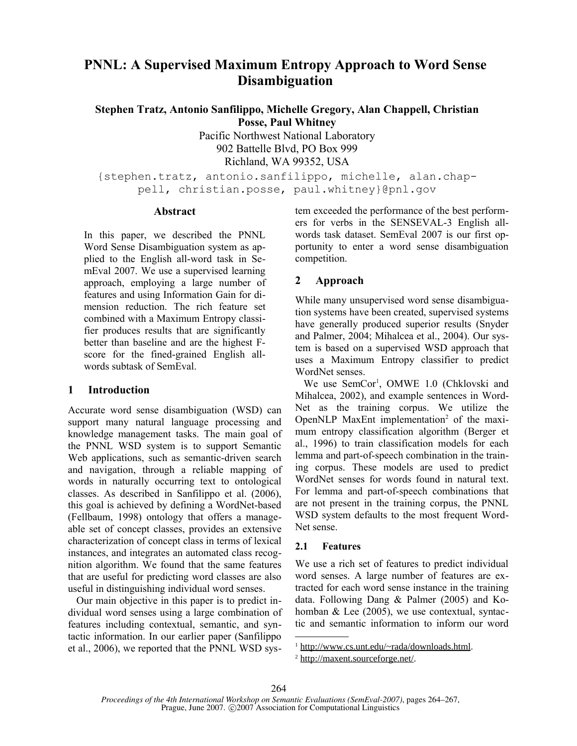# **PNNL: A Supervised Maximum Entropy Approach to Word Sense Disambiguation**

**Stephen Tratz, Antonio Sanfilippo, Michelle Gregory, Alan Chappell, Christian Posse, Paul Whitney**

> Pacific Northwest National Laboratory 902 Battelle Blvd, PO Box 999 Richland, WA 99352, USA

{stephen.tratz, antonio.sanfilippo, michelle, alan.chappell, christian.posse, paul.whitney}@pnl.gov

### **Abstract**

In this paper, we described the PNNL Word Sense Disambiguation system as applied to the English all-word task in SemEval 2007. We use a supervised learning approach, employing a large number of features and using Information Gain for dimension reduction. The rich feature set combined with a Maximum Entropy classifier produces results that are significantly better than baseline and are the highest Fscore for the fined-grained English allwords subtask of SemEval.

### **1 Introduction**

Accurate word sense disambiguation (WSD) can support many natural language processing and knowledge management tasks. The main goal of the PNNL WSD system is to support Semantic Web applications, such as semantic-driven search and navigation, through a reliable mapping of words in naturally occurring text to ontological classes. As described in Sanfilippo et al. (2006), this goal is achieved by defining a WordNet-based (Fellbaum, 1998) ontology that offers a manageable set of concept classes, provides an extensive characterization of concept class in terms of lexical instances, and integrates an automated class recognition algorithm. We found that the same features that are useful for predicting word classes are also useful in distinguishing individual word senses.

Our main objective in this paper is to predict individual word senses using a large combination of features including contextual, semantic, and syntactic information. In our earlier paper (Sanfilippo et al., 2006), we reported that the PNNL WSD system exceeded the performance of the best performers for verbs in the SENSEVAL-3 English allwords task dataset. SemEval 2007 is our first opportunity to enter a word sense disambiguation competition.

# **2 Approach**

While many unsupervised word sense disambiguation systems have been created, supervised systems have generally produced superior results (Snyder and Palmer, 2004; Mihalcea et al., 2004). Our system is based on a supervised WSD approach that uses a Maximum Entropy classifier to predict WordNet senses.

We use SemCor<sup>1</sup>, OMWE 1.0 (Chklovski and Mihalcea, 2002), and example sentences in Word-Net as the training corpus. We utilize the OpenNLP MaxEnt implementation<sup>2</sup> of the maximum entropy classification algorithm (Berger et al., 1996) to train classification models for each lemma and part-of-speech combination in the training corpus. These models are used to predict WordNet senses for words found in natural text. For lemma and part-of-speech combinations that are not present in the training corpus, the PNNL WSD system defaults to the most frequent Word-Net sense.

### **2.1 Features**

We use a rich set of features to predict individual word senses. A large number of features are extracted for each word sense instance in the training data. Following Dang & Palmer (2005) and Kohomban & Lee (2005), we use contextual, syntactic and semantic information to inform our word

<sup>1</sup> http://www.cs.unt.edu/~rada/downloads.html.

<sup>2</sup> http://maxent.sourceforge.net/.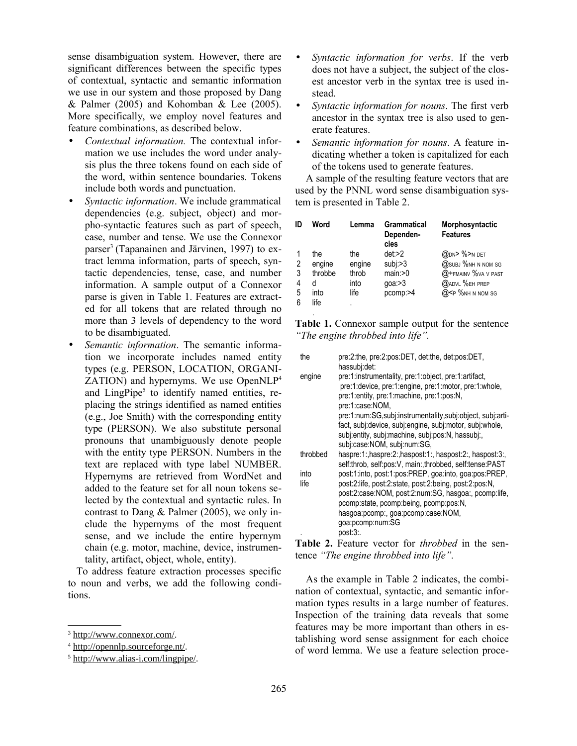sense disambiguation system. However, there are significant differences between the specific types of contextual, syntactic and semantic information we use in our system and those proposed by Dang & Palmer (2005) and Kohomban & Lee (2005). More specifically, we employ novel features and feature combinations, as described below.

- *Contextual information.* The contextual information we use includes the word under analysis plus the three tokens found on each side of the word, within sentence boundaries. Tokens include both words and punctuation.
- *Syntactic information*. We include grammatical dependencies (e.g. subject, object) and morpho-syntactic features such as part of speech, case, number and tense. We use the Connexor parser<sup>3</sup> (Tapanainen and Järvinen, 1997) to extract lemma information, parts of speech, syntactic dependencies, tense, case, and number information. A sample output of a Connexor parse is given in Table 1. Features are extracted for all tokens that are related through no more than 3 levels of dependency to the word to be disambiguated.
- *Semantic information*. The semantic information we incorporate includes named entity types (e.g. PERSON, LOCATION, ORGANI-ZATION) and hypernyms. We use OpenNLP<sup>4</sup> and LingPipe<sup>5</sup> to identify named entities, replacing the strings identified as named entities (e.g., Joe Smith) with the corresponding entity type (PERSON). We also substitute personal pronouns that unambiguously denote people with the entity type PERSON. Numbers in the text are replaced with type label NUMBER. Hypernyms are retrieved from WordNet and added to the feature set for all noun tokens selected by the contextual and syntactic rules. In contrast to Dang & Palmer (2005), we only include the hypernyms of the most frequent sense, and we include the entire hypernym chain (e.g. motor, machine, device, instrumentality, artifact, object, whole, entity).

To address feature extraction processes specific to noun and verbs, we add the following conditions.

- *Syntactic information for verbs*. If the verb does not have a subject, the subject of the closest ancestor verb in the syntax tree is used instead.
- *Syntactic information for nouns*. The first verb ancestor in the syntax tree is also used to generate features.
- *Semantic information for nouns*. A feature indicating whether a token is capitalized for each of the tokens used to generate features.

A sample of the resulting feature vectors that are used by the PNNL word sense disambiguation system is presented in Table 2.

| ID                    | Word                                          | Lemma                                       | <b>Grammatical</b><br>Dependen-<br>cies             | Morphosyntactic<br><b>Features</b>                                                                           |
|-----------------------|-----------------------------------------------|---------------------------------------------|-----------------------------------------------------|--------------------------------------------------------------------------------------------------------------|
| 2<br>3<br>4<br>5<br>6 | the<br>engine<br>throbbe<br>d<br>into<br>life | the<br>engine<br>throb<br>into<br>life<br>٠ | det:2<br>subi>3<br>main: >0<br>qoa: > 3<br>pcomp:>4 | @DN> %>N DET<br>@SUBJ %NH N NOM SG<br>@+FMAINV %VA V PAST<br><b>@ADVL %EH PREP</b><br>$@$ FP $%$ NH N NOM SG |
|                       |                                               |                                             |                                                     |                                                                                                              |

**Table 1.** Connexor sample output for the sentence *"The engine throbbed into life".*

| pre:2:the, pre:2:pos:DET, det:the, det:pos:DET,<br>hassubj:det:                                                                                                                                                                            |
|--------------------------------------------------------------------------------------------------------------------------------------------------------------------------------------------------------------------------------------------|
| pre:1:instrumentality, pre:1:object, pre:1:artifact,<br>pre:1:device, pre:1:engine, pre:1:motor, pre:1:whole,<br>pre:1:entity, pre:1:machine, pre:1:pos:N,<br>pre:1:case:NOM.<br>pre:1:num:SG,subj:instrumentality,subj:object, subj:arti- |
| fact, subj:device, subj:engine, subj:motor, subj:whole,<br>subj:entity, subj:machine, subj:pos:N, hassubj:,<br>subj:case:NOM, subj:num:SG,                                                                                                 |
| haspre:1:,haspre:2:,haspost:1:, haspost:2:, haspost:3:,<br>self:throb, self:pos:V, main:,throbbed, self:tense:PAST                                                                                                                         |
| post:1:into, post:1:pos:PREP, goa:into, goa:pos:PREP,                                                                                                                                                                                      |
| post:2:life, post:2:state, post:2:being, post:2:pos:N,<br>post:2:case:NOM, post:2:num:SG, hasgoa:, pcomp:life,<br>pcomp:state, pcomp:being, pcomp:pos:N,<br>hasgoa:pcomp:, goa:pcomp:case:NOM,<br>goa:pcomp:num:SG<br>post:3:.             |
|                                                                                                                                                                                                                                            |

**Table 2.** Feature vector for *throbbed* in the sentence *"The engine throbbed into life".*

As the example in Table 2 indicates, the combination of contextual, syntactic, and semantic information types results in a large number of features. Inspection of the training data reveals that some features may be more important than others in establishing word sense assignment for each choice of word lemma. We use a feature selection proce-

<sup>3</sup> http://www.connexor.com/.

<sup>4</sup> http://opennlp.sourceforge.nt/.

<sup>5</sup> http://www.alias-i.com/lingpipe/.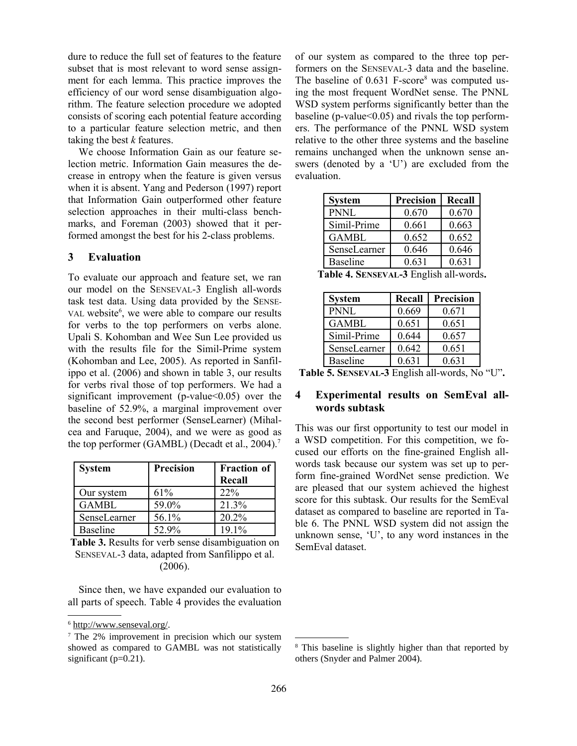dure to reduce the full set of features to the feature subset that is most relevant to word sense assignment for each lemma. This practice improves the efficiency of our word sense disambiguation algorithm. The feature selection procedure we adopted consists of scoring each potential feature according to a particular feature selection metric, and then taking the best *k* features.

We choose Information Gain as our feature selection metric. Information Gain measures the decrease in entropy when the feature is given versus when it is absent. Yang and Pederson (1997) report that Information Gain outperformed other feature selection approaches in their multi-class benchmarks, and Foreman (2003) showed that it performed amongst the best for his 2-class problems.

### **3 Evaluation**

To evaluate our approach and feature set, we ran our model on the SENSEVAL-3 English all-words task test data. Using data provided by the SENSE-VAL website<sup>6</sup>, we were able to compare our results for verbs to the top performers on verbs alone. Upali S. Kohomban and Wee Sun Lee provided us with the results file for the Simil-Prime system (Kohomban and Lee, 2005). As reported in Sanfilippo et al. (2006) and shown in table 3, our results for verbs rival those of top performers. We had a significant improvement (p-value $<0.05$ ) over the baseline of 52.9%, a marginal improvement over the second best performer (SenseLearner) (Mihalcea and Faruque, 2004), and we were as good as the top performer (GAMBL) (Decadt et al., 2004). 7

| <b>System</b>   | <b>Precision</b> | <b>Fraction of</b><br>Recall |
|-----------------|------------------|------------------------------|
| Our system      | 61%              | 22%                          |
| <b>GAMBL</b>    | 59.0%            | 21.3%                        |
| SenseLearner    | 56.1%            | 20.2%                        |
| <b>Baseline</b> | 52.9%            | 19.1%                        |

**Table 3.** Results for verb sense disambiguation on SENSEVAL-3 data, adapted from Sanfilippo et al. (2006).

Since then, we have expanded our evaluation to all parts of speech. Table 4 provides the evaluation of our system as compared to the three top performers on the SENSEVAL-3 data and the baseline. The baseline of  $0.631$  F-score<sup>8</sup> was computed using the most frequent WordNet sense. The PNNL WSD system performs significantly better than the baseline (p-value  $0.05$ ) and rivals the top performers. The performance of the PNNL WSD system relative to the other three systems and the baseline remains unchanged when the unknown sense answers (denoted by a 'U') are excluded from the evaluation.

| <b>System</b>   | <b>Precision</b> | Recall |
|-----------------|------------------|--------|
| PNNL            | 0.670            | 0.670  |
| Simil-Prime     | 0.661            | 0.663  |
| <b>GAMBL</b>    | 0.652            | 0.652  |
| SenseLearner    | 0.646            | 0.646  |
| <b>Baseline</b> | 0.631            | 0.631  |

**Table 4. SENSEVAL-3** English all-words**.**

| <b>System</b>   | Recall | <b>Precision</b> |
|-----------------|--------|------------------|
| <b>PNNL</b>     | 0.669  | 0.671            |
| <b>GAMBL</b>    | 0.651  | 0.651            |
| Simil-Prime     | 0.644  | 0.657            |
| SenseLearner    | 0.642  | 0.651            |
| <b>Baseline</b> | 0.631  | 0.631            |

**Table 5. SENSEVAL-3** English all-words, No "U"**.**

# **4 Experimental results on SemEval allwords subtask**

This was our first opportunity to test our model in a WSD competition. For this competition, we focused our efforts on the fine-grained English allwords task because our system was set up to perform fine-grained WordNet sense prediction. We are pleased that our system achieved the highest score for this subtask. Our results for the SemEval dataset as compared to baseline are reported in Table 6. The PNNL WSD system did not assign the unknown sense, 'U', to any word instances in the SemEval dataset.

<sup>6</sup> http://www.senseval.org/.

<sup>&</sup>lt;sup>7</sup> The 2% improvement in precision which our system showed as compared to GAMBL was not statistically significant (p=0.21).

<sup>8</sup> This baseline is slightly higher than that reported by others (Snyder and Palmer 2004).